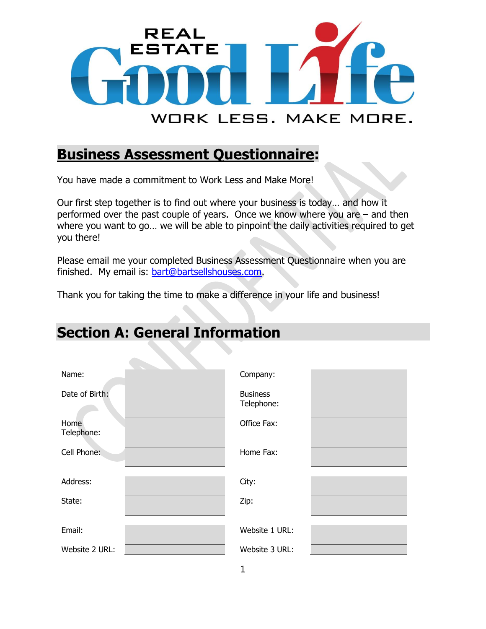

#### **Business Assessment Questionnaire:**

You have made a commitment to Work Less and Make More!

Our first step together is to find out where your business is today… and how it performed over the past couple of years. Once we know where you are – and then where you want to go… we will be able to pinpoint the daily activities required to get you there!

Please email me your completed Business Assessment Questionnaire when you are finished. My email is: [bart@bartsellshouses.com.](mailto:bart@bartsellshouses.com)

Thank you for taking the time to make a difference in your life and business!

## **Section A: General Information**

| Name:              | Company:                      |  |
|--------------------|-------------------------------|--|
| Date of Birth:     | <b>Business</b><br>Telephone: |  |
| Home<br>Telephone: | Office Fax:                   |  |
| Cell Phone:        | Home Fax:                     |  |
| Address:           | City:                         |  |
| State:             | Zip:                          |  |
| Email:             | Website 1 URL:                |  |
| Website 2 URL:     | Website 3 URL:                |  |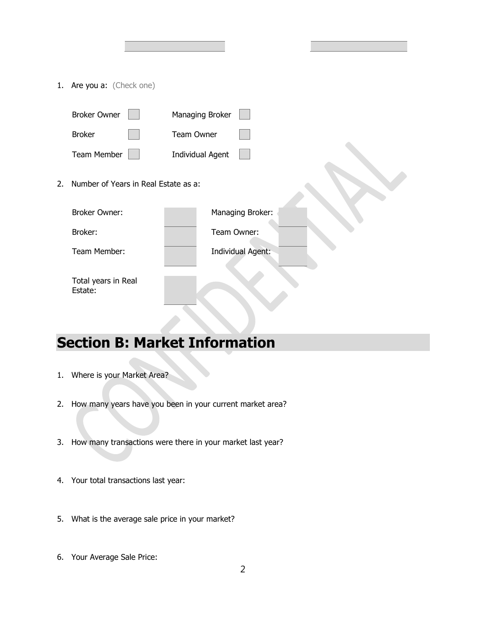1. Are you a: (Check one)

|    | <b>Broker Owner</b>                  | Managing Broker         |
|----|--------------------------------------|-------------------------|
|    | <b>Broker</b>                        | Team Owner              |
|    | <b>Team Member</b>                   | <b>Individual Agent</b> |
| 2. | Number of Years in Real Estate as a: |                         |
|    | <b>Broker Owner:</b>                 | Managing Broker:        |
|    | Broker:                              | Team Owner:             |
|    | Team Member:                         | Individual Agent:       |
|    | Total years in Real<br>Estate:       |                         |

## **Section B: Market Information**

- 1. Where is your Market Area?
- 2. How many years have you been in your current market area?
- 3. How many transactions were there in your market last year?
- 4. Your total transactions last year:
- 5. What is the average sale price in your market?
- 6. Your Average Sale Price: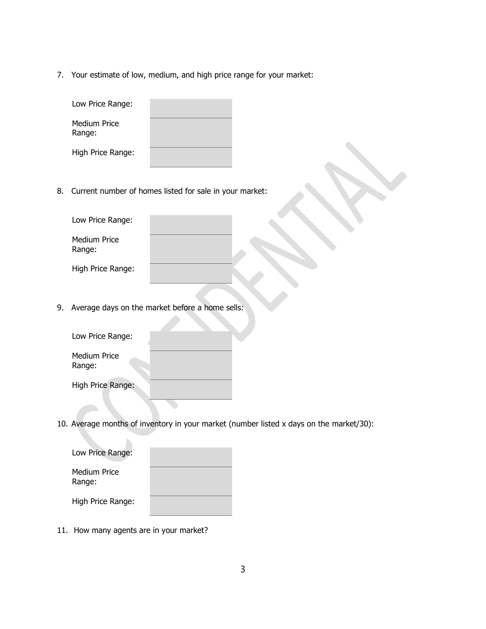7. Your estimate of low, medium, and high price range for your market:

| Low Price Range:       |  |
|------------------------|--|
| Medium Price<br>Range: |  |
| High Price Range:      |  |

8. Current number of homes listed for sale in your market:

| Low Price Range:       |  |
|------------------------|--|
| Medium Price<br>Range: |  |
| High Price Range:      |  |

9. Average days on the market before a home sells:

| Low Price Range:       |  |
|------------------------|--|
| Medium Price<br>Range: |  |
| High Price Range:      |  |

10. Average months of inventory in your market (number listed x days on the market/30):

| Low Price Range:              |  |
|-------------------------------|--|
| <b>Medium Price</b><br>Range: |  |
| High Price Range:             |  |

11. How many agents are in your market?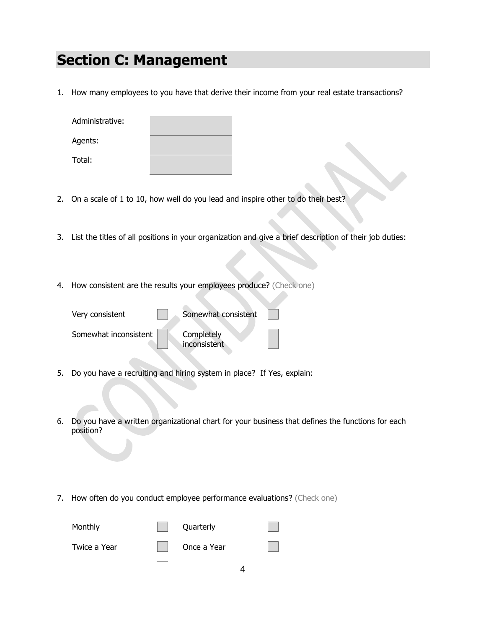#### **Section C: Management**

1. How many employees to you have that derive their income from your real estate transactions?

| Administrative: |  |
|-----------------|--|
| Agents:         |  |
| Total:          |  |

- 2. On a scale of 1 to 10, how well do you lead and inspire other to do their best?
- 3. List the titles of all positions in your organization and give a brief description of their job duties:
- 4. How consistent are the results your employees produce? (Check one)

| Very consistent       | Somewhat consistent        |  |
|-----------------------|----------------------------|--|
| Somewhat inconsistent | Completely<br>inconsistent |  |

- 5. Do you have a recruiting and hiring system in place? If Yes, explain:
- 6. Do you have a written organizational chart for your business that defines the functions for each position?
- 7. How often do you conduct employee performance evaluations? (Check one)

| Monthly      | Quarterly   |  |
|--------------|-------------|--|
| Twice a Year | Once a Year |  |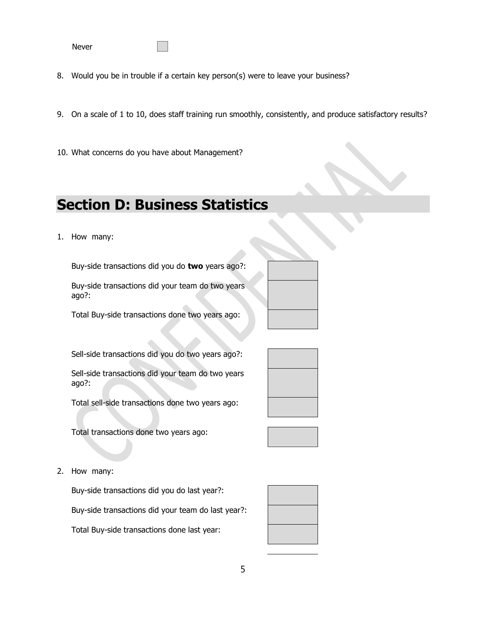Never

- 8. Would you be in trouble if a certain key person(s) were to leave your business?
- 9. On a scale of 1 to 10, does staff training run smoothly, consistently, and produce satisfactory results?
- 10. What concerns do you have about Management?

## **Section D: Business Statistics**

1. How many:

Buy-side transactions did you do **two** years ago?:

Buy-side transactions did your team do two years ago?:



Total Buy-side transactions done two years ago:

Sell-side transactions did you do two years ago?:

Sell-side transactions did your team do two years ago?:

Total sell-side transactions done two years ago:

Total transactions done two years ago:





Buy-side transactions did you do last year?: Buy-side transactions did your team do last year?: Total Buy-side transactions done last year: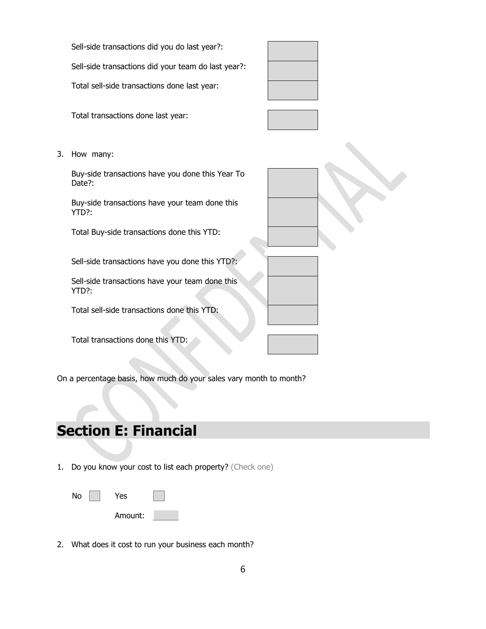Sell-side transactions did you do last year?:

Sell-side transactions did your team do last year?:

Total sell-side transactions done last year:

Total transactions done last year:



3. How many:

Buy-side transactions have you done this Year To Date?:

Buy-side transactions have your team done this YTD?:

Total Buy-side transactions done this YTD:

Sell-side transactions have you done this YTD?:

Sell-side transactions have your team done this YTD?:

Total sell-side transactions done this YTD:

Total transactions done this YTD:

On a percentage basis, how much do your sales vary month to month?

# **Section E: Financial**

1. Do you know your cost to list each property? (Check one)

| No |  | Yes     |  |
|----|--|---------|--|
|    |  | Amount: |  |

2. What does it cost to run your business each month?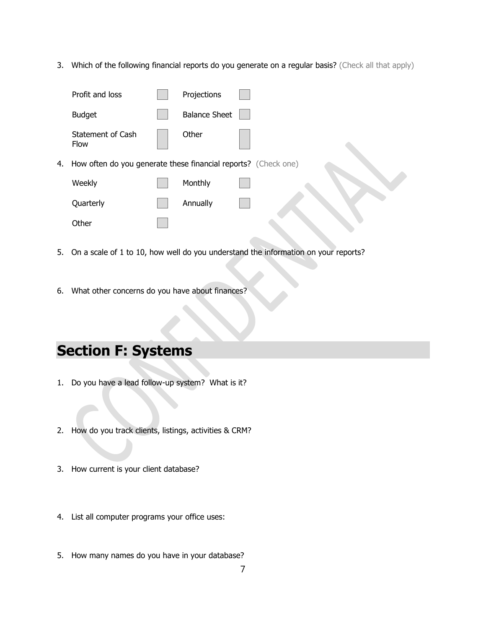3. Which of the following financial reports do you generate on a regular basis? (Check all that apply)

|    | Profit and loss                                                | Projections          |  |
|----|----------------------------------------------------------------|----------------------|--|
|    | <b>Budget</b>                                                  | <b>Balance Sheet</b> |  |
|    | <b>Statement of Cash</b><br>Flow                               | Other                |  |
| 4. | How often do you generate these financial reports? (Check one) |                      |  |
|    | Weekly                                                         | Monthly              |  |
|    | Quarterly                                                      | Annually             |  |
|    | Other                                                          |                      |  |

- 5. On a scale of 1 to 10, how well do you understand the information on your reports?
- 6. What other concerns do you have about finances?

# **Section F: Systems**

- 1. Do you have a lead follow-up system? What is it?
- 2. How do you track clients, listings, activities & CRM?
- 3. How current is your client database?
- 4. List all computer programs your office uses:
- 5. How many names do you have in your database?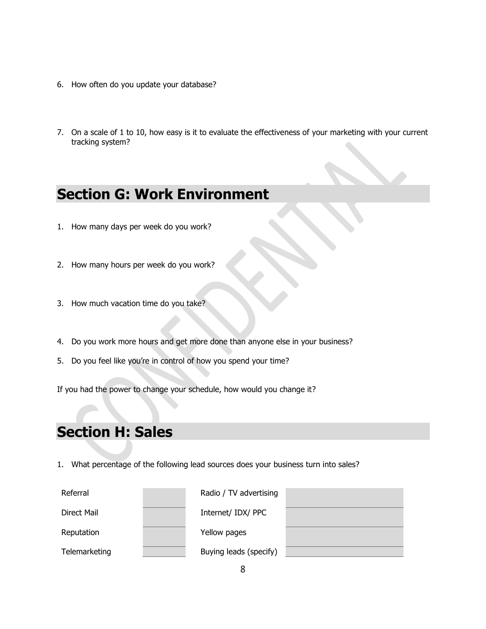- 6. How often do you update your database?
- 7. On a scale of 1 to 10, how easy is it to evaluate the effectiveness of your marketing with your current tracking system?

#### **Section G: Work Environment**

- 1. How many days per week do you work?
- 2. How many hours per week do you work?
- 3. How much vacation time do you take?
- 4. Do you work more hours and get more done than anyone else in your business?
- 5. Do you feel like you're in control of how you spend your time?

If you had the power to change your schedule, how would you change it?

# **Section H: Sales**

1. What percentage of the following lead sources does your business turn into sales?

| Referral      | Radio / TV advertising |  |
|---------------|------------------------|--|
| Direct Mail   | Internet/ IDX/ PPC     |  |
| Reputation    | Yellow pages           |  |
| Telemarketing | Buying leads (specify) |  |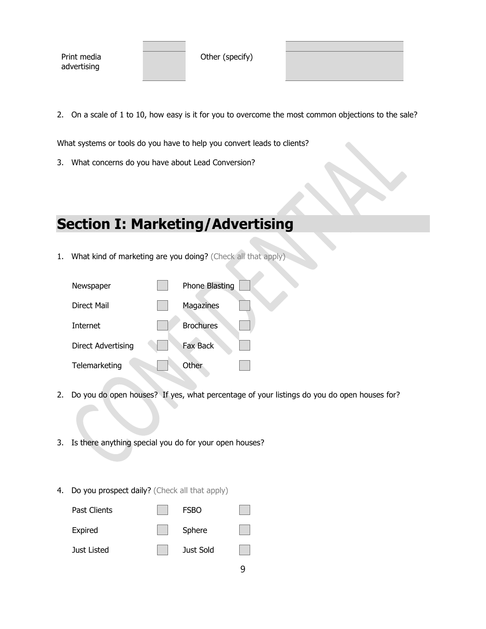Print media advertising

Other (specify)

2. On a scale of 1 to 10, how easy is it for you to overcome the most common objections to the sale?

What systems or tools do you have to help you convert leads to clients?

3. What concerns do you have about Lead Conversion?

#### **Section I: Marketing/Advertising**

1. What kind of marketing are you doing? (Check all that apply)

| Newspaper          | <b>Phone Blasting</b> |  |
|--------------------|-----------------------|--|
| Direct Mail        | Magazines             |  |
| Internet           | <b>Brochures</b>      |  |
| Direct Advertising | Fax Back              |  |
| Telemarketing      | <b>Other</b>          |  |

2. Do you do open houses? If yes, what percentage of your listings do you do open houses for?

9

- 3. Is there anything special you do for your open houses?
- 4. Do you prospect daily? (Check all that apply)

| Past Clients | <b>FSBO</b> |  |
|--------------|-------------|--|
| Expired      | Sphere      |  |
| Just Listed  | Just Sold   |  |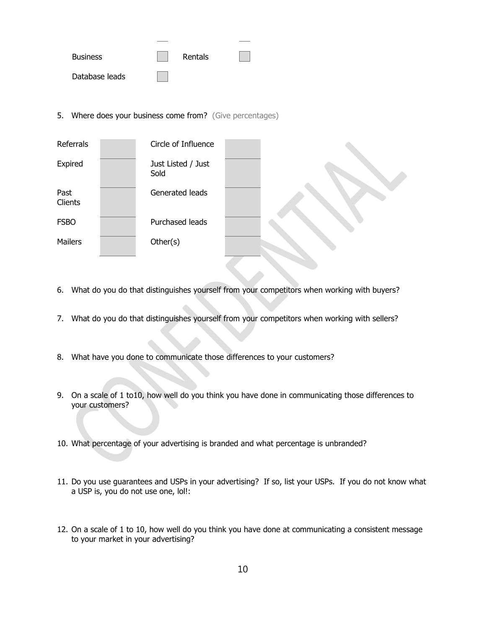| <b>Business</b> | Rentals |  |
|-----------------|---------|--|
| Database leads  |         |  |

5. Where does your business come from? (Give percentages)



- 6. What do you do that distinguishes yourself from your competitors when working with buyers?
- 7. What do you do that distinguishes yourself from your competitors when working with sellers?
- 8. What have you done to communicate those differences to your customers?
- 9. On a scale of 1 to10, how well do you think you have done in communicating those differences to your customers?
- 10. What percentage of your advertising is branded and what percentage is unbranded?
- 11. Do you use guarantees and USPs in your advertising? If so, list your USPs. If you do not know what a USP is, you do not use one, lol!:
- 12. On a scale of 1 to 10, how well do you think you have done at communicating a consistent message to your market in your advertising?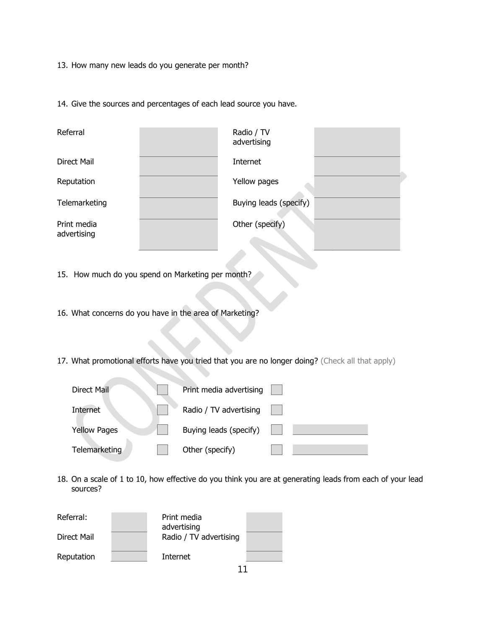13. How many new leads do you generate per month?

14. Give the sources and percentages of each lead source you have.

| Referral                   | Radio / TV<br>advertising |  |
|----------------------------|---------------------------|--|
| Direct Mail                | Internet                  |  |
| Reputation                 | Yellow pages              |  |
| Telemarketing              | Buying leads (specify)    |  |
| Print media<br>advertising | Other (specify)           |  |

15. How much do you spend on Marketing per month?

16. What concerns do you have in the area of Marketing?

17. What promotional efforts have you tried that you are no longer doing? (Check all that apply)

| Direct Mail         | Print media advertising |  |
|---------------------|-------------------------|--|
| Internet            | Radio / TV advertising  |  |
| <b>Yellow Pages</b> | Buying leads (specify)  |  |
| Telemarketing       | Other (specify)         |  |

18. On a scale of 1 to 10, how effective do you think you are at generating leads from each of your lead sources?

| Referral:   | Print media<br>advertising |  |
|-------------|----------------------------|--|
| Direct Mail | Radio / TV advertising     |  |
| Reputation  | Internet                   |  |
|             |                            |  |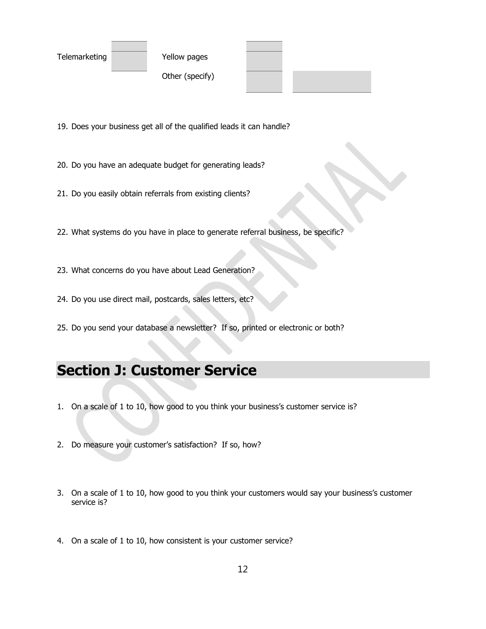| Telemarketing |  |
|---------------|--|
|---------------|--|

Yellow pages

Other (specify)



- 19. Does your business get all of the qualified leads it can handle?
- 20. Do you have an adequate budget for generating leads?
- 21. Do you easily obtain referrals from existing clients?
- 22. What systems do you have in place to generate referral business, be specific?
- 23. What concerns do you have about Lead Generation?
- 24. Do you use direct mail, postcards, sales letters, etc?
- 25. Do you send your database a newsletter? If so, printed or electronic or both?

## **Section J: Customer Service**

- 1. On a scale of 1 to 10, how good to you think your business's customer service is?
- 2. Do measure your customer's satisfaction? If so, how?
- 3. On a scale of 1 to 10, how good to you think your customers would say your business's customer service is?
- 4. On a scale of 1 to 10, how consistent is your customer service?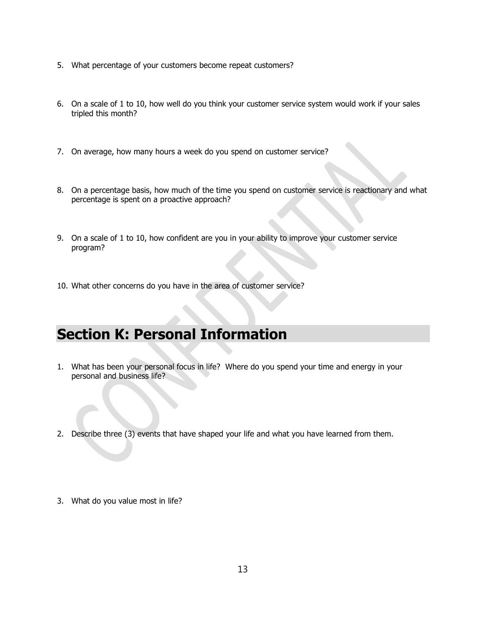- 5. What percentage of your customers become repeat customers?
- 6. On a scale of 1 to 10, how well do you think your customer service system would work if your sales tripled this month?
- 7. On average, how many hours a week do you spend on customer service?
- 8. On a percentage basis, how much of the time you spend on customer service is reactionary and what percentage is spent on a proactive approach?
- 9. On a scale of 1 to 10, how confident are you in your ability to improve your customer service program?
- 10. What other concerns do you have in the area of customer service?

#### **Section K: Personal Information**

- 1. What has been your personal focus in life? Where do you spend your time and energy in your personal and business life?
- 2. Describe three (3) events that have shaped your life and what you have learned from them.
- 3. What do you value most in life?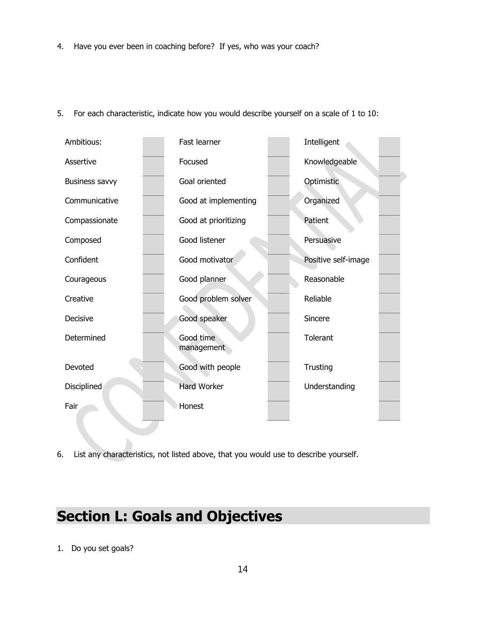4. Have you ever been in coaching before? If yes, who was your coach?



5. For each characteristic, indicate how you would describe yourself on a scale of 1 to 10:

6. List any characteristics, not listed above, that you would use to describe yourself.

#### **Section L: Goals and Objectives**

1. Do you set goals?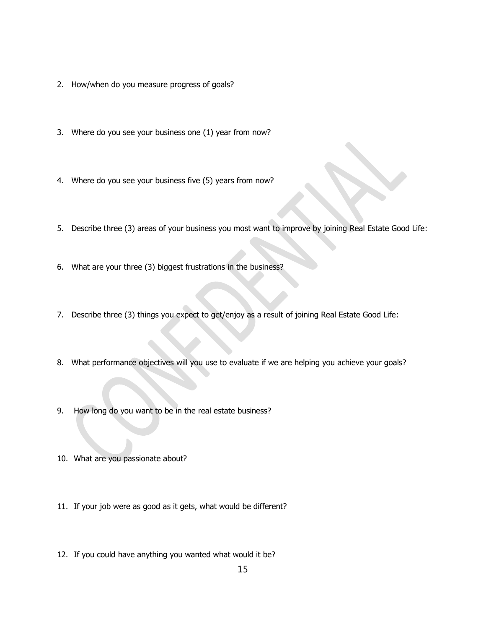- 2. How/when do you measure progress of goals?
- 3. Where do you see your business one (1) year from now?
- 4. Where do you see your business five (5) years from now?
- 5. Describe three (3) areas of your business you most want to improve by joining Real Estate Good Life:
- 6. What are your three (3) biggest frustrations in the business?
- 7. Describe three (3) things you expect to get/enjoy as a result of joining Real Estate Good Life:
- 8. What performance objectives will you use to evaluate if we are helping you achieve your goals?
- 9. How long do you want to be in the real estate business?
- 10. What are you passionate about?
- 11. If your job were as good as it gets, what would be different?
- 12. If you could have anything you wanted what would it be?